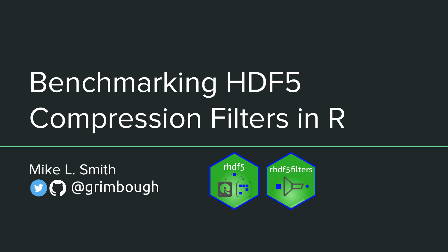# Benchmarking HDF5 Compression Filters in R

Mike L. Smith **D**@grimbough

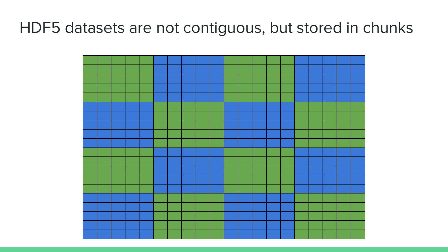#### HDF5 datasets are not contiguous, but stored in chunks

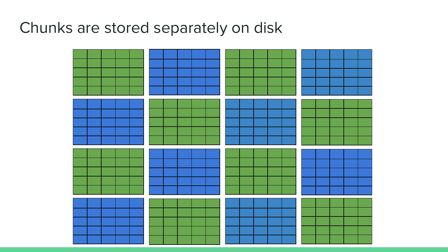## Chunks are stored separately on disk

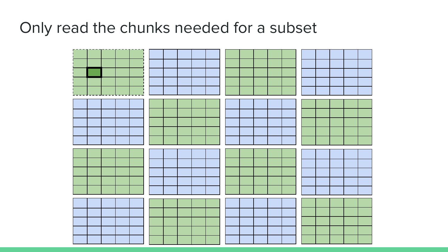#### Only read the chunks needed for a subset

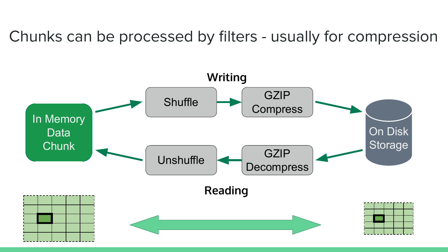Chunks can be processed by filters - usually for compression

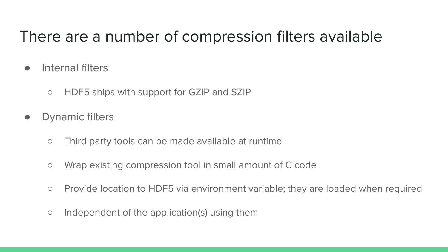## There are a number of compression filters available

- Internal filters
	- HDF5 ships with support for GZIP and SZIP
- Dynamic filters
	- Third party tools can be made available at runtime
	- Wrap existing compression tool in small amount of C code
	- Provide location to HDF5 via environment variable; they are loaded when required
	- Independent of the application(s) using them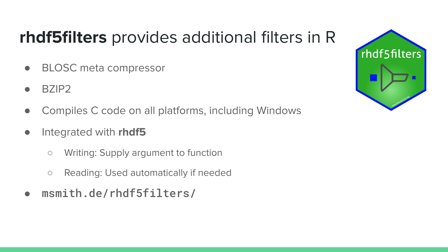# **rhdf5filters** provides additional filters in R

- BLOSC meta compressor
- BZIP<sub>2</sub>
- Compiles C code on all platforms, including Windows
- Integrated with **rhdf5**
	- Writing: Supply argument to function
	- Reading: Used automatically if needed
- msmith.de/rhdf5filters/

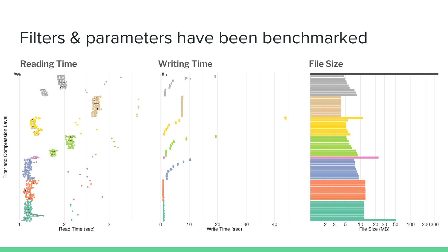## Filters & parameters have been benchmarked



Filter and Compression Level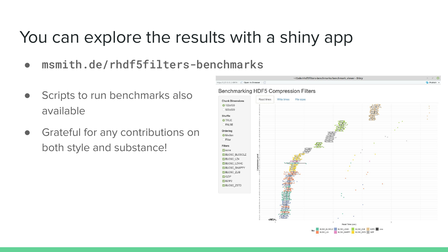# You can explore the results with a shiny app

- msmith.de/rhdf5filters-benchmarks
- Scripts to run benchmarks also available
- Grateful for any contributions on both style and substance!